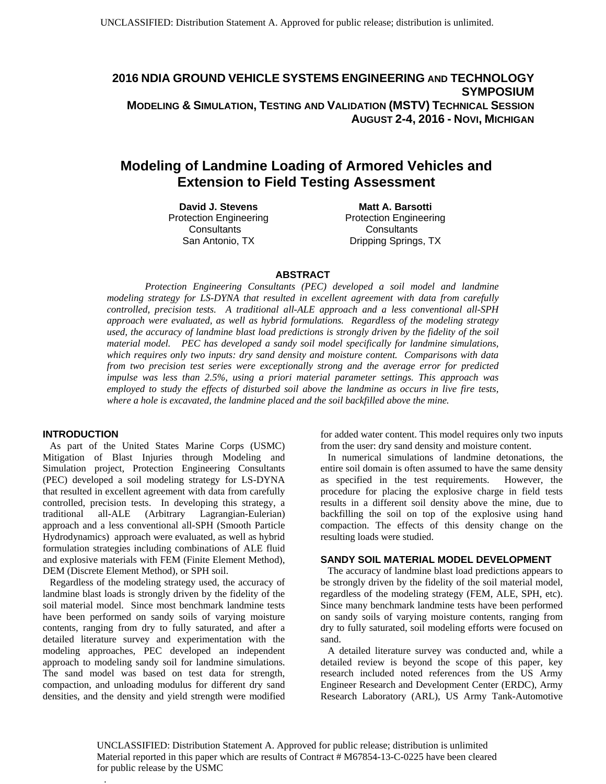**2016 NDIA GROUND VEHICLE SYSTEMS ENGINEERING AND TECHNOLOGY SYMPOSIUM MODELING & SIMULATION, TESTING AND VALIDATION (MSTV) TECHNICAL SESSION AUGUST 2-4, 2016 - NOVI, MICHIGAN**

# **Modeling of Landmine Loading of Armored Vehicles and Extension to Field Testing Assessment**

**David J. Stevens**  Protection Engineering **Consultants** San Antonio, TX

 **Matt A. Barsotti**  Protection Engineering **Consultants** Dripping Springs, TX

#### **ABSTRACT**

 *Protection Engineering Consultants (PEC) developed a soil model and landmine modeling strategy for LS-DYNA that resulted in excellent agreement with data from carefully controlled, precision tests. A traditional all-ALE approach and a less conventional all-SPH approach were evaluated, as well as hybrid formulations. Regardless of the modeling strategy used, the accuracy of landmine blast load predictions is strongly driven by the fidelity of the soil material model. PEC has developed a sandy soil model specifically for landmine simulations, which requires only two inputs: dry sand density and moisture content. Comparisons with data from two precision test series were exceptionally strong and the average error for predicted impulse was less than 2.5%, using a priori material parameter settings. This approach was employed to study the effects of disturbed soil above the landmine as occurs in live fire tests, where a hole is excavated, the landmine placed and the soil backfilled above the mine.* 

#### **INTRODUCTION**

As part of the United States Marine Corps (USMC) Mitigation of Blast Injuries through Modeling and Simulation project, Protection Engineering Consultants (PEC) developed a soil modeling strategy for LS-DYNA that resulted in excellent agreement with data from carefully controlled, precision tests. In developing this strategy, a traditional all-ALE (Arbitrary Lagrangian-Eulerian) approach and a less conventional all-SPH (Smooth Particle Hydrodynamics) approach were evaluated, as well as hybrid formulation strategies including combinations of ALE fluid and explosive materials with FEM (Finite Element Method), DEM (Discrete Element Method), or SPH soil.

Regardless of the modeling strategy used, the accuracy of landmine blast loads is strongly driven by the fidelity of the soil material model. Since most benchmark landmine tests have been performed on sandy soils of varying moisture contents, ranging from dry to fully saturated, and after a detailed literature survey and experimentation with the modeling approaches, PEC developed an independent approach to modeling sandy soil for landmine simulations. The sand model was based on test data for strength, compaction, and unloading modulus for different dry sand densities, and the density and yield strength were modified

.

for added water content. This model requires only two inputs from the user: dry sand density and moisture content.

In numerical simulations of landmine detonations, the entire soil domain is often assumed to have the same density as specified in the test requirements. However, the procedure for placing the explosive charge in field tests results in a different soil density above the mine, due to backfilling the soil on top of the explosive using hand compaction. The effects of this density change on the resulting loads were studied.

#### **SANDY SOIL MATERIAL MODEL DEVELOPMENT**

The accuracy of landmine blast load predictions appears to be strongly driven by the fidelity of the soil material model, regardless of the modeling strategy (FEM, ALE, SPH, etc). Since many benchmark landmine tests have been performed on sandy soils of varying moisture contents, ranging from dry to fully saturated, soil modeling efforts were focused on sand.

A detailed literature survey was conducted and, while a detailed review is beyond the scope of this paper, key research included noted references from the US Army Engineer Research and Development Center (ERDC), Army Research Laboratory (ARL), US Army Tank-Automotive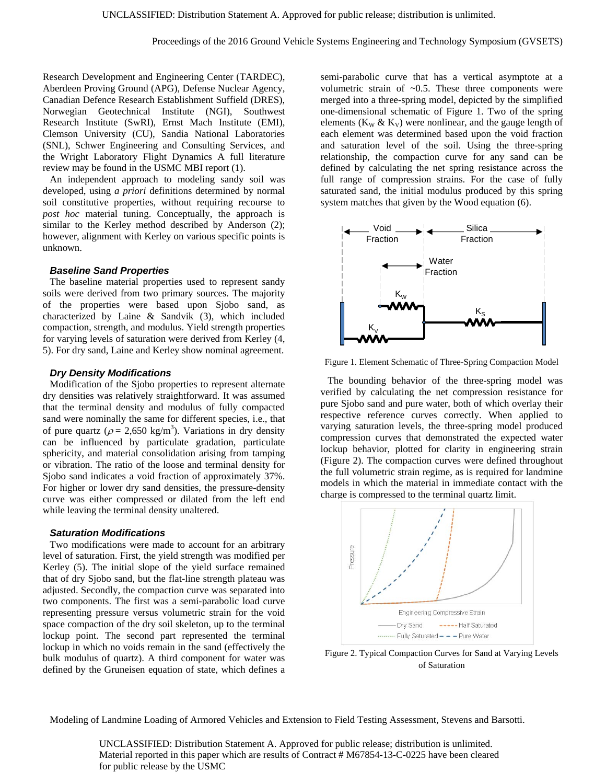Research Development and Engineering Center (TARDEC), Aberdeen Proving Ground (APG), Defense Nuclear Agency, Canadian Defence Research Establishment Suffield (DRES), Norwegian Geotechnical Institute (NGI), Southwest Research Institute (SwRI), Ernst Mach Institute (EMI), Clemson University (CU), Sandia National Laboratories (SNL), Schwer Engineering and Consulting Services, and the Wright Laboratory Flight Dynamics A full literature review may be found in the USMC MBI report (1).

An independent approach to modeling sandy soil was developed, using *a priori* definitions determined by normal soil constitutive properties, without requiring recourse to *post hoc* material tuning. Conceptually, the approach is similar to the Kerley method described by Anderson (2); however, alignment with Kerley on various specific points is unknown.

#### *Baseline Sand Properties*

The baseline material properties used to represent sandy soils were derived from two primary sources. The majority of the properties were based upon Sjobo sand, as characterized by Laine & Sandvik (3), which included compaction, strength, and modulus. Yield strength properties for varying levels of saturation were derived from Kerley (4, 5). For dry sand, Laine and Kerley show nominal agreement.

#### *Dry Density Modifications*

Modification of the Sjobo properties to represent alternate dry densities was relatively straightforward. It was assumed that the terminal density and modulus of fully compacted sand were nominally the same for different species, i.e., that of pure quartz ( $\rho = 2,650 \text{ kg/m}^3$ ). Variations in dry density can be influenced by particulate gradation, particulate sphericity, and material consolidation arising from tamping or vibration. The ratio of the loose and terminal density for Sjobo sand indicates a void fraction of approximately 37%. For higher or lower dry sand densities, the pressure-density curve was either compressed or dilated from the left end while leaving the terminal density unaltered.

#### *Saturation Modifications*

Two modifications were made to account for an arbitrary level of saturation. First, the yield strength was modified per Kerley (5). The initial slope of the yield surface remained that of dry Sjobo sand, but the flat-line strength plateau was adjusted. Secondly, the compaction curve was separated into two components. The first was a semi-parabolic load curve representing pressure versus volumetric strain for the void space compaction of the dry soil skeleton, up to the terminal lockup point. The second part represented the terminal lockup in which no voids remain in the sand (effectively the bulk modulus of quartz). A third component for water was defined by the Gruneisen equation of state, which defines a

semi-parabolic curve that has a vertical asymptote at a volumetric strain of  $\sim 0.5$ . These three components were merged into a three-spring model, depicted by the simplified one-dimensional schematic of Figure 1. Two of the spring elements ( $K_W & K_V$ ) were nonlinear, and the gauge length of each element was determined based upon the void fraction and saturation level of the soil. Using the three-spring relationship, the compaction curve for any sand can be defined by calculating the net spring resistance across the full range of compression strains. For the case of fully saturated sand, the initial modulus produced by this spring system matches that given by the Wood equation (6).



Figure 1. Element Schematic of Three-Spring Compaction Model

The bounding behavior of the three-spring model was verified by calculating the net compression resistance for pure Sjobo sand and pure water, both of which overlay their respective reference curves correctly. When applied to varying saturation levels, the three-spring model produced compression curves that demonstrated the expected water lockup behavior, plotted for clarity in engineering strain (Figure 2). The compaction curves were defined throughout the full volumetric strain regime, as is required for landmine models in which the material in immediate contact with the charge is compressed to the terminal quartz limit.



Figure 2. Typical Compaction Curves for Sand at Varying Levels of Saturation

Modeling of Landmine Loading of Armored Vehicles and Extension to Field Testing Assessment, Stevens and Barsotti.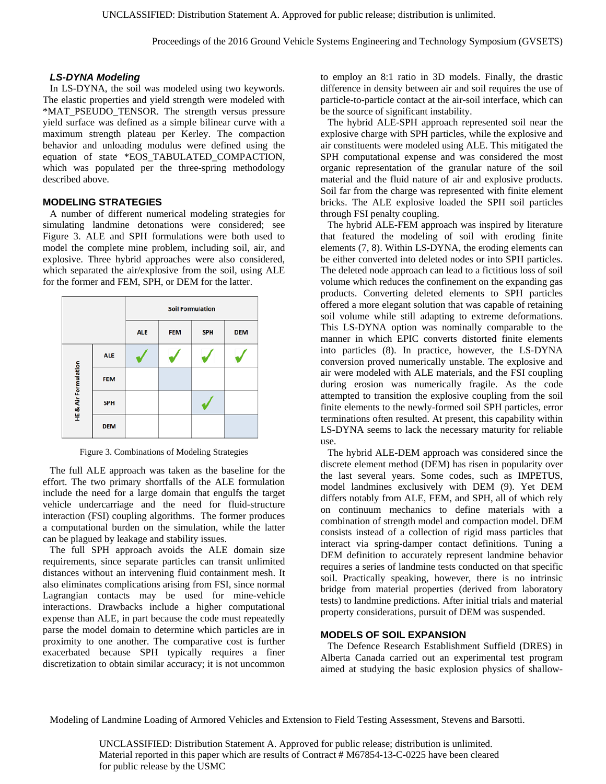# *LS-DYNA Modeling*

In LS-DYNA, the soil was modeled using two keywords. The elastic properties and yield strength were modeled with \*MAT\_PSEUDO\_TENSOR. The strength versus pressure yield surface was defined as a simple bilinear curve with a maximum strength plateau per Kerley. The compaction behavior and unloading modulus were defined using the equation of state \*EOS\_TABULATED\_COMPACTION, which was populated per the three-spring methodology described above.

# **MODELING STRATEGIES**

A number of different numerical modeling strategies for simulating landmine detonations were considered; see Figure 3. ALE and SPH formulations were both used to model the complete mine problem, including soil, air, and explosive. Three hybrid approaches were also considered, which separated the air/explosive from the soil, using ALE for the former and FEM, SPH, or DEM for the latter.



Figure 3. Combinations of Modeling Strategies

The full ALE approach was taken as the baseline for the effort. The two primary shortfalls of the ALE formulation include the need for a large domain that engulfs the target vehicle undercarriage and the need for fluid-structure interaction (FSI) coupling algorithms. The former produces a computational burden on the simulation, while the latter can be plagued by leakage and stability issues.

The full SPH approach avoids the ALE domain size requirements, since separate particles can transit unlimited distances without an intervening fluid containment mesh. It also eliminates complications arising from FSI, since normal Lagrangian contacts may be used for mine-vehicle interactions. Drawbacks include a higher computational expense than ALE, in part because the code must repeatedly parse the model domain to determine which particles are in proximity to one another. The comparative cost is further exacerbated because SPH typically requires a finer discretization to obtain similar accuracy; it is not uncommon

to employ an 8:1 ratio in 3D models. Finally, the drastic difference in density between air and soil requires the use of particle-to-particle contact at the air-soil interface, which can be the source of significant instability.

The hybrid ALE-SPH approach represented soil near the explosive charge with SPH particles, while the explosive and air constituents were modeled using ALE. This mitigated the SPH computational expense and was considered the most organic representation of the granular nature of the soil material and the fluid nature of air and explosive products. Soil far from the charge was represented with finite element bricks. The ALE explosive loaded the SPH soil particles through FSI penalty coupling.

The hybrid ALE-FEM approach was inspired by literature that featured the modeling of soil with eroding finite elements (7, 8). Within LS-DYNA, the eroding elements can be either converted into deleted nodes or into SPH particles. The deleted node approach can lead to a fictitious loss of soil volume which reduces the confinement on the expanding gas products. Converting deleted elements to SPH particles offered a more elegant solution that was capable of retaining soil volume while still adapting to extreme deformations. This LS-DYNA option was nominally comparable to the manner in which EPIC converts distorted finite elements into particles (8). In practice, however, the LS-DYNA conversion proved numerically unstable. The explosive and air were modeled with ALE materials, and the FSI coupling during erosion was numerically fragile. As the code attempted to transition the explosive coupling from the soil finite elements to the newly-formed soil SPH particles, error terminations often resulted. At present, this capability within LS-DYNA seems to lack the necessary maturity for reliable use.

The hybrid ALE-DEM approach was considered since the discrete element method (DEM) has risen in popularity over the last several years. Some codes, such as IMPETUS, model landmines exclusively with DEM (9). Yet DEM differs notably from ALE, FEM, and SPH, all of which rely on continuum mechanics to define materials with a combination of strength model and compaction model. DEM consists instead of a collection of rigid mass particles that interact via spring-damper contact definitions. Tuning a DEM definition to accurately represent landmine behavior requires a series of landmine tests conducted on that specific soil. Practically speaking, however, there is no intrinsic bridge from material properties (derived from laboratory tests) to landmine predictions. After initial trials and material property considerations, pursuit of DEM was suspended.

#### **MODELS OF SOIL EXPANSION**

The Defence Research Establishment Suffield (DRES) in Alberta Canada carried out an experimental test program aimed at studying the basic explosion physics of shallow-

Modeling of Landmine Loading of Armored Vehicles and Extension to Field Testing Assessment, Stevens and Barsotti.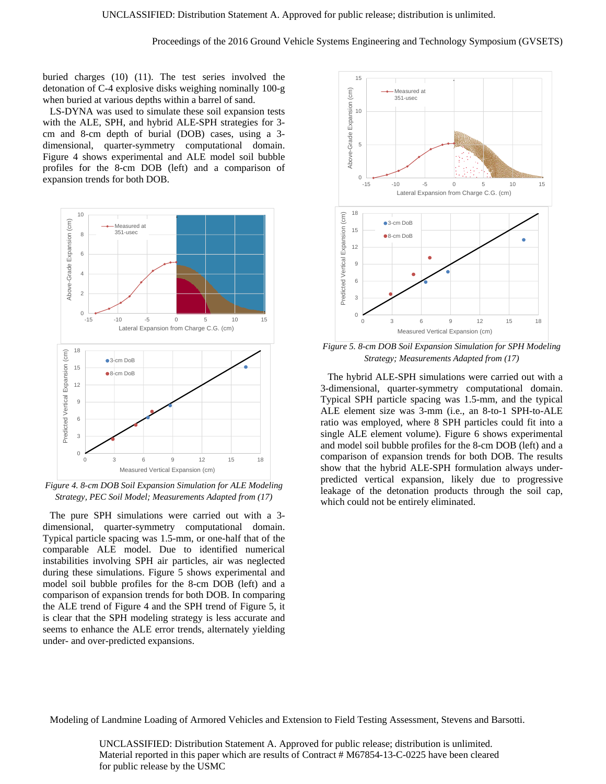buried charges (10) (11). The test series involved the detonation of C-4 explosive disks weighing nominally 100-g when buried at various depths within a barrel of sand.

LS-DYNA was used to simulate these soil expansion tests with the ALE, SPH, and hybrid ALE-SPH strategies for 3 cm and 8-cm depth of burial (DOB) cases, using a 3 dimensional, quarter-symmetry computational domain. Figure 4 shows experimental and ALE model soil bubble profiles for the 8-cm DOB (left) and a comparison of expansion trends for both DOB.



*Figure 4. 8-cm DOB Soil Expansion Simulation for ALE Modeling Strategy, PEC Soil Model; Measurements Adapted from (17)* 

The pure SPH simulations were carried out with a 3 dimensional, quarter-symmetry computational domain. Typical particle spacing was 1.5-mm, or one-half that of the comparable ALE model. Due to identified numerical instabilities involving SPH air particles, air was neglected during these simulations. Figure 5 shows experimental and model soil bubble profiles for the 8-cm DOB (left) and a comparison of expansion trends for both DOB. In comparing the ALE trend of Figure 4 and the SPH trend of Figure 5, it is clear that the SPH modeling strategy is less accurate and seems to enhance the ALE error trends, alternately yielding under- and over-predicted expansions.



*Figure 5. 8-cm DOB Soil Expansion Simulation for SPH Modeling Strategy; Measurements Adapted from (17)* 

The hybrid ALE-SPH simulations were carried out with a 3-dimensional, quarter-symmetry computational domain. Typical SPH particle spacing was 1.5-mm, and the typical ALE element size was 3-mm (i.e., an 8-to-1 SPH-to-ALE ratio was employed, where 8 SPH particles could fit into a single ALE element volume). Figure 6 shows experimental and model soil bubble profiles for the 8-cm DOB (left) and a comparison of expansion trends for both DOB. The results show that the hybrid ALE-SPH formulation always underpredicted vertical expansion, likely due to progressive leakage of the detonation products through the soil cap, which could not be entirely eliminated.

Modeling of Landmine Loading of Armored Vehicles and Extension to Field Testing Assessment, Stevens and Barsotti.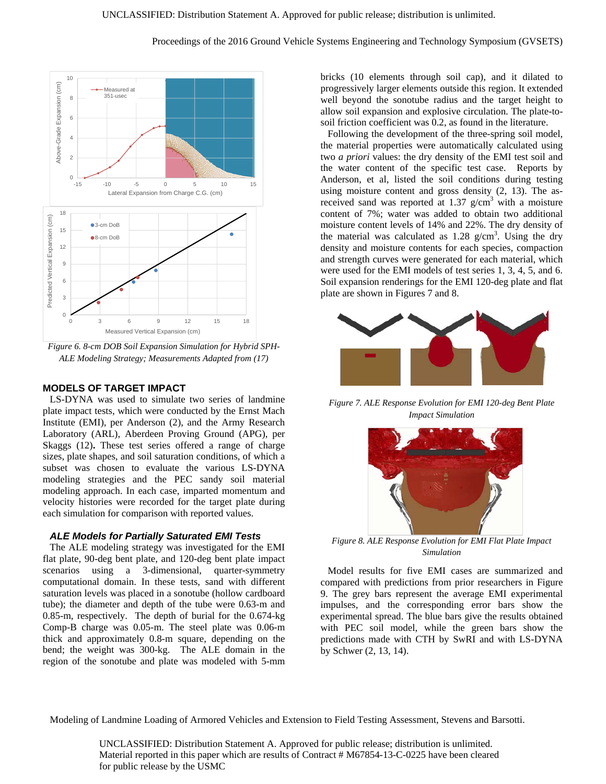

*Figure 6. 8-cm DOB Soil Expansion Simulation for Hybrid SPH-ALE Modeling Strategy; Measurements Adapted from (17)* 

# **MODELS OF TARGET IMPACT**

LS-DYNA was used to simulate two series of landmine plate impact tests, which were conducted by the Ernst Mach Institute (EMI), per Anderson (2), and the Army Research Laboratory (ARL), Aberdeen Proving Ground (APG), per Skaggs (12)**.** These test series offered a range of charge sizes, plate shapes, and soil saturation conditions, of which a subset was chosen to evaluate the various LS-DYNA modeling strategies and the PEC sandy soil material modeling approach. In each case, imparted momentum and velocity histories were recorded for the target plate during each simulation for comparison with reported values.

# *ALE Models for Partially Saturated EMI Tests*

The ALE modeling strategy was investigated for the EMI flat plate, 90-deg bent plate, and 120-deg bent plate impact scenarios using a 3-dimensional, quarter-symmetry computational domain. In these tests, sand with different saturation levels was placed in a sonotube (hollow cardboard tube); the diameter and depth of the tube were 0.63-m and 0.85-m, respectively. The depth of burial for the 0.674-kg Comp-B charge was 0.05-m. The steel plate was 0.06-m thick and approximately 0.8-m square, depending on the bend; the weight was 300-kg. The ALE domain in the region of the sonotube and plate was modeled with 5-mm

bricks (10 elements through soil cap), and it dilated to progressively larger elements outside this region. It extended well beyond the sonotube radius and the target height to allow soil expansion and explosive circulation. The plate-tosoil friction coefficient was 0.2, as found in the literature.

Following the development of the three-spring soil model, the material properties were automatically calculated using two *a priori* values: the dry density of the EMI test soil and the water content of the specific test case. Reports by Anderson, et al, listed the soil conditions during testing using moisture content and gross density (2, 13). The asreceived sand was reported at 1.37  $g/cm<sup>3</sup>$  with a moisture content of 7%; water was added to obtain two additional moisture content levels of 14% and 22%. The dry density of the material was calculated as  $1.28 \text{ g/cm}^3$ . Using the dry density and moisture contents for each species, compaction and strength curves were generated for each material, which were used for the EMI models of test series 1, 3, 4, 5, and 6. Soil expansion renderings for the EMI 120-deg plate and flat plate are shown in Figures 7 and 8.



*Figure 7. ALE Response Evolution for EMI 120-deg Bent Plate Impact Simulation* 



*Figure 8. ALE Response Evolution for EMI Flat Plate Impact Simulation* 

Model results for five EMI cases are summarized and compared with predictions from prior researchers in Figure 9. The grey bars represent the average EMI experimental impulses, and the corresponding error bars show the experimental spread. The blue bars give the results obtained with PEC soil model, while the green bars show the predictions made with CTH by SwRI and with LS-DYNA by Schwer (2, 13, 14).

Modeling of Landmine Loading of Armored Vehicles and Extension to Field Testing Assessment, Stevens and Barsotti.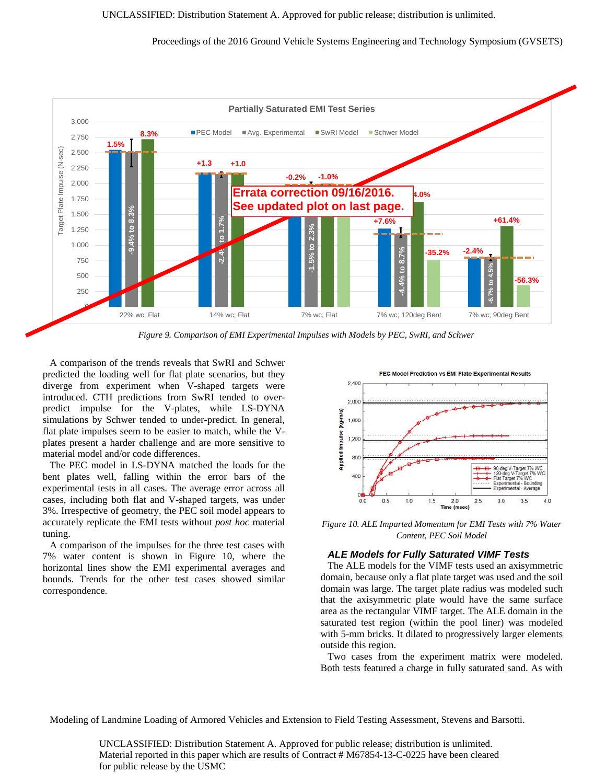Proceedings of the 2016 Ground Vehicle Systems Engineering and Technology Symposium (GVSETS)



*Figure 9. Comparison of EMI Experimental Impulses with Models by PEC, SwRI, and Schwer* 

A comparison of the trends reveals that SwRI and Schwer predicted the loading well for flat plate scenarios, but they diverge from experiment when V-shaped targets were introduced. CTH predictions from SwRI tended to overpredict impulse for the V-plates, while LS-DYNA simulations by Schwer tended to under-predict. In general, flat plate impulses seem to be easier to match, while the Vplates present a harder challenge and are more sensitive to material model and/or code differences.

The PEC model in LS-DYNA matched the loads for the bent plates well, falling within the error bars of the experimental tests in all cases. The average error across all cases, including both flat and V-shaped targets, was under 3%. Irrespective of geometry, the PEC soil model appears to accurately replicate the EMI tests without *post hoc* material tuning.

A comparison of the impulses for the three test cases with 7% water content is shown in Figure 10, where the horizontal lines show the EMI experimental averages and bounds. Trends for the other test cases showed similar correspondence.



*Figure 10. ALE Imparted Momentum for EMI Tests with 7% Water Content, PEC Soil Model* 

#### *ALE Models for Fully Saturated VIMF Tests*

The ALE models for the VIMF tests used an axisymmetric domain, because only a flat plate target was used and the soil domain was large. The target plate radius was modeled such that the axisymmetric plate would have the same surface area as the rectangular VIMF target. The ALE domain in the saturated test region (within the pool liner) was modeled with 5-mm bricks. It dilated to progressively larger elements outside this region.

Two cases from the experiment matrix were modeled. Both tests featured a charge in fully saturated sand. As with

Modeling of Landmine Loading of Armored Vehicles and Extension to Field Testing Assessment, Stevens and Barsotti.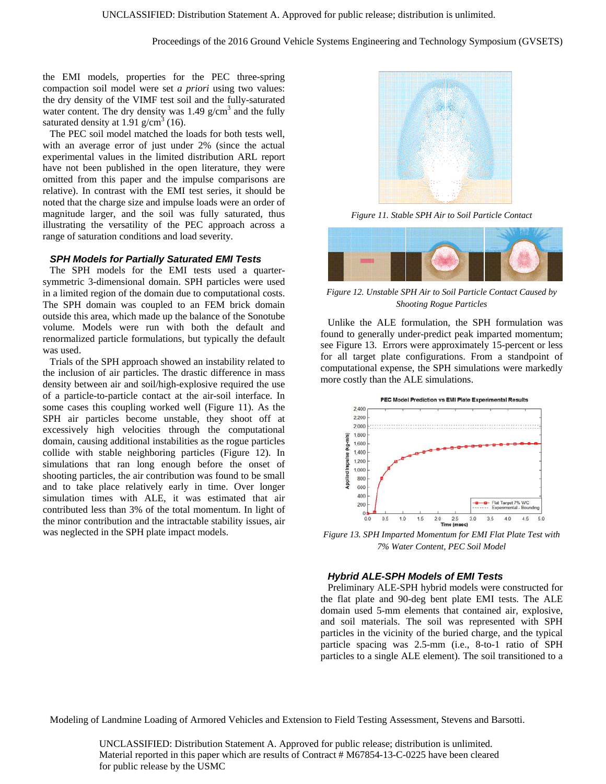the EMI models, properties for the PEC three-spring compaction soil model were set *a priori* using two values: the dry density of the VIMF test soil and the fully-saturated water content. The dry density was  $1.49$  g/cm<sup>3</sup> and the fully saturated density at 1.91  $g/cm^3$  (16).

The PEC soil model matched the loads for both tests well, with an average error of just under 2% (since the actual experimental values in the limited distribution ARL report have not been published in the open literature, they were omitted from this paper and the impulse comparisons are relative). In contrast with the EMI test series, it should be noted that the charge size and impulse loads were an order of magnitude larger, and the soil was fully saturated, thus illustrating the versatility of the PEC approach across a range of saturation conditions and load severity.

#### *SPH Models for Partially Saturated EMI Tests*

The SPH models for the EMI tests used a quartersymmetric 3-dimensional domain. SPH particles were used in a limited region of the domain due to computational costs. The SPH domain was coupled to an FEM brick domain outside this area, which made up the balance of the Sonotube volume. Models were run with both the default and renormalized particle formulations, but typically the default was used.

Trials of the SPH approach showed an instability related to the inclusion of air particles. The drastic difference in mass density between air and soil/high-explosive required the use of a particle-to-particle contact at the air-soil interface. In some cases this coupling worked well (Figure 11). As the SPH air particles become unstable, they shoot off at excessively high velocities through the computational domain, causing additional instabilities as the rogue particles collide with stable neighboring particles (Figure 12). In simulations that ran long enough before the onset of shooting particles, the air contribution was found to be small and to take place relatively early in time. Over longer simulation times with ALE, it was estimated that air contributed less than 3% of the total momentum. In light of the minor contribution and the intractable stability issues, air was neglected in the SPH plate impact models.



*Figure 11. Stable SPH Air to Soil Particle Contact* 



*Figure 12. Unstable SPH Air to Soil Particle Contact Caused by Shooting Rogue Particles* 

Unlike the ALE formulation, the SPH formulation was found to generally under-predict peak imparted momentum; see Figure 13. Errors were approximately 15-percent or less for all target plate configurations. From a standpoint of computational expense, the SPH simulations were markedly more costly than the ALE simulations.



*7% Water Content, PEC Soil Model* 

#### *Hybrid ALE-SPH Models of EMI Tests*

Preliminary ALE-SPH hybrid models were constructed for the flat plate and 90-deg bent plate EMI tests. The ALE domain used 5-mm elements that contained air, explosive, and soil materials. The soil was represented with SPH particles in the vicinity of the buried charge, and the typical particle spacing was 2.5-mm (i.e., 8-to-1 ratio of SPH particles to a single ALE element). The soil transitioned to a

Modeling of Landmine Loading of Armored Vehicles and Extension to Field Testing Assessment, Stevens and Barsotti.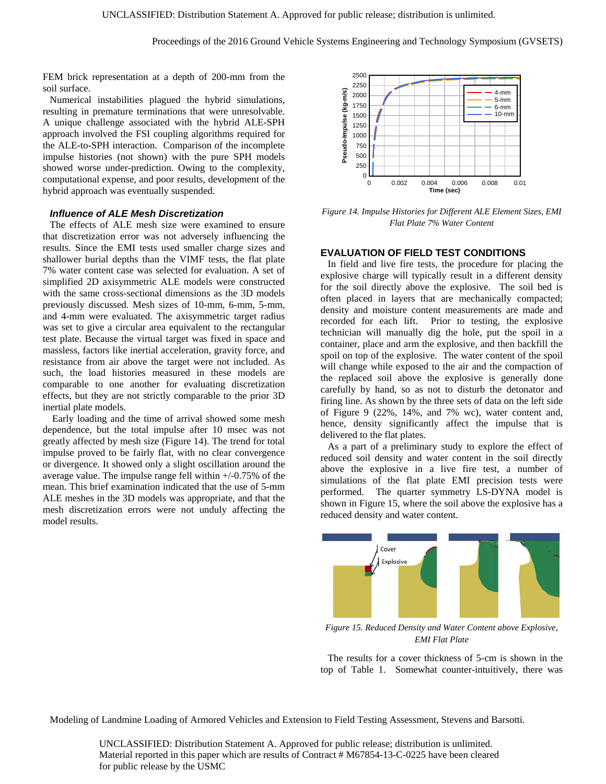FEM brick representation at a depth of 200-mm from the soil surface.

Numerical instabilities plagued the hybrid simulations, resulting in premature terminations that were unresolvable. A unique challenge associated with the hybrid ALE-SPH approach involved the FSI coupling algorithms required for the ALE-to-SPH interaction. Comparison of the incomplete impulse histories (not shown) with the pure SPH models showed worse under-prediction. Owing to the complexity, computational expense, and poor results, development of the hybrid approach was eventually suspended.

## *Influence of ALE Mesh Discretization*

The effects of ALE mesh size were examined to ensure that discretization error was not adversely influencing the results. Since the EMI tests used smaller charge sizes and shallower burial depths than the VIMF tests, the flat plate 7% water content case was selected for evaluation. A set of simplified 2D axisymmetric ALE models were constructed with the same cross-sectional dimensions as the 3D models previously discussed. Mesh sizes of 10-mm, 6-mm, 5-mm, and 4-mm were evaluated. The axisymmetric target radius was set to give a circular area equivalent to the rectangular test plate. Because the virtual target was fixed in space and massless, factors like inertial acceleration, gravity force, and resistance from air above the target were not included. As such, the load histories measured in these models are comparable to one another for evaluating discretization effects, but they are not strictly comparable to the prior 3D inertial plate models.

 Early loading and the time of arrival showed some mesh dependence, but the total impulse after 10 msec was not greatly affected by mesh size (Figure 14). The trend for total impulse proved to be fairly flat, with no clear convergence or divergence. It showed only a slight oscillation around the average value. The impulse range fell within +/-0.75% of the mean. This brief examination indicated that the use of 5-mm ALE meshes in the 3D models was appropriate, and that the mesh discretization errors were not unduly affecting the model results.



*Figure 14. Impulse Histories for Different ALE Element Sizes, EMI Flat Plate 7% Water Content* 

### **EVALUATION OF FIELD TEST CONDITIONS**

In field and live fire tests, the procedure for placing the explosive charge will typically result in a different density for the soil directly above the explosive. The soil bed is often placed in layers that are mechanically compacted; density and moisture content measurements are made and recorded for each lift. Prior to testing, the explosive technician will manually dig the hole, put the spoil in a container, place and arm the explosive, and then backfill the spoil on top of the explosive. The water content of the spoil will change while exposed to the air and the compaction of the replaced soil above the explosive is generally done carefully by hand, so as not to disturb the detonator and firing line. As shown by the three sets of data on the left side of Figure 9 (22%, 14%, and 7% wc), water content and, hence, density significantly affect the impulse that is delivered to the flat plates.

As a part of a preliminary study to explore the effect of reduced soil density and water content in the soil directly above the explosive in a live fire test, a number of simulations of the flat plate EMI precision tests were performed. The quarter symmetry LS-DYNA model is shown in Figure 15, where the soil above the explosive has a reduced density and water content.



*Figure 15. Reduced Density and Water Content above Explosive, EMI Flat Plate* 

The results for a cover thickness of 5-cm is shown in the top of Table 1. Somewhat counter-intuitively, there was

Modeling of Landmine Loading of Armored Vehicles and Extension to Field Testing Assessment, Stevens and Barsotti.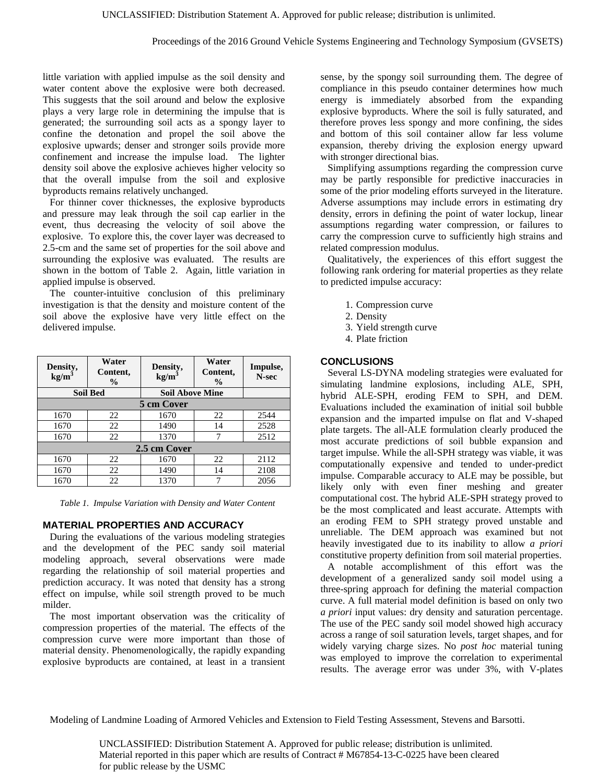little variation with applied impulse as the soil density and water content above the explosive were both decreased. This suggests that the soil around and below the explosive plays a very large role in determining the impulse that is generated; the surrounding soil acts as a spongy layer to confine the detonation and propel the soil above the explosive upwards; denser and stronger soils provide more confinement and increase the impulse load. The lighter density soil above the explosive achieves higher velocity so that the overall impulse from the soil and explosive byproducts remains relatively unchanged.

For thinner cover thicknesses, the explosive byproducts and pressure may leak through the soil cap earlier in the event, thus decreasing the velocity of soil above the explosive. To explore this, the cover layer was decreased to 2.5-cm and the same set of properties for the soil above and surrounding the explosive was evaluated. The results are shown in the bottom of Table 2. Again, little variation in applied impulse is observed.

The counter-intuitive conclusion of this preliminary investigation is that the density and moisture content of the soil above the explosive have very little effect on the delivered impulse.

| Density,<br>kg/m <sup>3</sup> | Water<br>Content,<br>$\frac{0}{0}$ | Density,<br>kg/m <sup>3</sup> | Water<br>Content,<br>$\frac{0}{0}$ | Impulse,<br>N-sec |
|-------------------------------|------------------------------------|-------------------------------|------------------------------------|-------------------|
| <b>Soil Bed</b>               |                                    | <b>Soil Above Mine</b>        |                                    |                   |
| 5 cm Cover                    |                                    |                               |                                    |                   |
| 1670                          | 22                                 | 1670                          | 22                                 | 2544              |
| 1670                          | 22                                 | 1490                          | 14                                 | 2528              |
| 1670                          | 22                                 | 1370                          |                                    | 2512              |
| 2.5 cm Cover                  |                                    |                               |                                    |                   |
| 1670                          | 22                                 | 1670                          | 22                                 | 2112              |
| 1670                          | 22                                 | 1490                          | 14                                 | 2108              |
| 1670                          | 22                                 | 1370                          |                                    | 2056              |

*Table 1. Impulse Variation with Density and Water Content* 

# **MATERIAL PROPERTIES AND ACCURACY**

During the evaluations of the various modeling strategies and the development of the PEC sandy soil material modeling approach, several observations were made regarding the relationship of soil material properties and prediction accuracy. It was noted that density has a strong effect on impulse, while soil strength proved to be much milder.

The most important observation was the criticality of compression properties of the material. The effects of the compression curve were more important than those of material density. Phenomenologically, the rapidly expanding explosive byproducts are contained, at least in a transient sense, by the spongy soil surrounding them. The degree of compliance in this pseudo container determines how much energy is immediately absorbed from the expanding explosive byproducts. Where the soil is fully saturated, and therefore proves less spongy and more confining, the sides and bottom of this soil container allow far less volume expansion, thereby driving the explosion energy upward with stronger directional bias.

Simplifying assumptions regarding the compression curve may be partly responsible for predictive inaccuracies in some of the prior modeling efforts surveyed in the literature. Adverse assumptions may include errors in estimating dry density, errors in defining the point of water lockup, linear assumptions regarding water compression, or failures to carry the compression curve to sufficiently high strains and related compression modulus.

Qualitatively, the experiences of this effort suggest the following rank ordering for material properties as they relate to predicted impulse accuracy:

- 1. Compression curve
- 2. Density
- 3. Yield strength curve
- 4. Plate friction

## **CONCLUSIONS**

Several LS-DYNA modeling strategies were evaluated for simulating landmine explosions, including ALE, SPH, hybrid ALE-SPH, eroding FEM to SPH, and DEM. Evaluations included the examination of initial soil bubble expansion and the imparted impulse on flat and V-shaped plate targets. The all-ALE formulation clearly produced the most accurate predictions of soil bubble expansion and target impulse. While the all-SPH strategy was viable, it was computationally expensive and tended to under-predict impulse. Comparable accuracy to ALE may be possible, but likely only with even finer meshing and greater computational cost. The hybrid ALE-SPH strategy proved to be the most complicated and least accurate. Attempts with an eroding FEM to SPH strategy proved unstable and unreliable. The DEM approach was examined but not heavily investigated due to its inability to allow *a priori* constitutive property definition from soil material properties.

A notable accomplishment of this effort was the development of a generalized sandy soil model using a three-spring approach for defining the material compaction curve. A full material model definition is based on only two *a priori* input values: dry density and saturation percentage. The use of the PEC sandy soil model showed high accuracy across a range of soil saturation levels, target shapes, and for widely varying charge sizes. No *post hoc* material tuning was employed to improve the correlation to experimental results. The average error was under 3%, with V-plates

Modeling of Landmine Loading of Armored Vehicles and Extension to Field Testing Assessment, Stevens and Barsotti.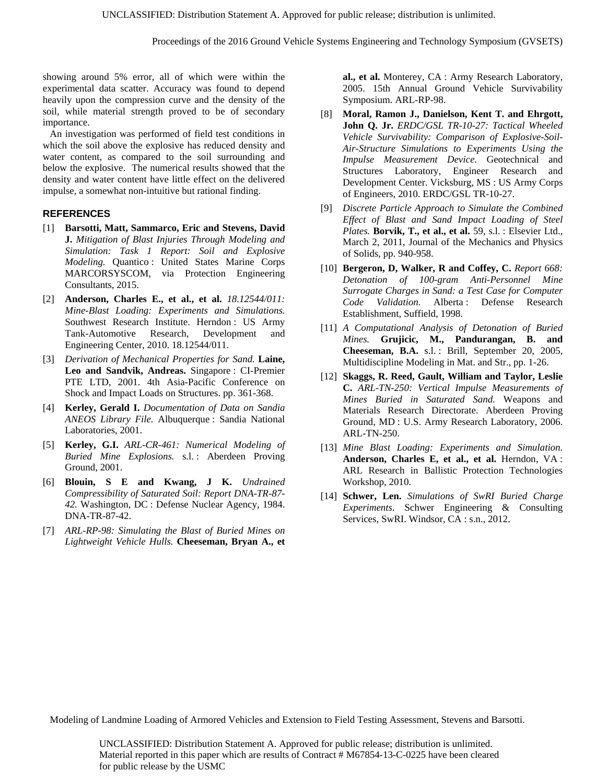Proceedings of the 2016 Ground Vehicle Systems Engineering and Technology Symposium (GVSETS)

showing around 5% error, all of which were within the experimental data scatter. Accuracy was found to depend heavily upon the compression curve and the density of the soil, while material strength proved to be of secondary importance.

An investigation was performed of field test conditions in which the soil above the explosive has reduced density and water content, as compared to the soil surrounding and below the explosive. The numerical results showed that the density and water content have little effect on the delivered impulse, a somewhat non-intuitive but rational finding.

# **REFERENCES**

- [1] **Barsotti, Matt, Sammarco, Eric and Stevens, David J.** *Mitigation of Blast Injuries Through Modeling and Simulation: Task 1 Report: Soil and Explosive Modeling.* Quantico : United States Marine Corps MARCORSYSCOM, via Protection Engineering Consultants, 2015.
- [2] **Anderson, Charles E., et al., et al.** *18.12544/011: Mine-Blast Loading: Experiments and Simulations.*  Southwest Research Institute. Herndon : US Army Tank-Automotive Research, Development and Engineering Center, 2010. 18.12544/011.
- [3] *Derivation of Mechanical Properties for Sand.* **Laine, Leo and Sandvik, Andreas.** Singapore : CI-Premier PTE LTD, 2001. 4th Asia-Pacific Conference on Shock and Impact Loads on Structures. pp. 361-368.
- [4] **Kerley, Gerald I.** *Documentation of Data on Sandia ANEOS Library File.* Albuquerque : Sandia National Laboratories, 2001.
- [5] **Kerley, G.I.** *ARL-CR-461: Numerical Modeling of Buried Mine Explosions.* s.l. : Aberdeen Proving Ground, 2001.
- [6] **Blouin, S E and Kwang, J K.** *Undrained Compressibility of Saturated Soil: Report DNA-TR-87- 42.* Washington, DC : Defense Nuclear Agency, 1984. DNA-TR-87-42.
- [7] *ARL-RP-98: Simulating the Blast of Buried Mines on Lightweight Vehicle Hulls.* **Cheeseman, Bryan A., et**

**al., et al.** Monterey, CA : Army Research Laboratory, 2005. 15th Annual Ground Vehicle Survivability Symposium. ARL-RP-98.

- [8] **Moral, Ramon J., Danielson, Kent T. and Ehrgott, John Q. Jr.** *ERDC/GSL TR-10-27: Tactical Wheeled Vehicle Survivability: Comparison of Explosive-Soil-Air-Structure Simulations to Experiments Using the Impulse Measurement Device.* Geotechnical and Structures Laboratory, Engineer Research and Development Center. Vicksburg, MS : US Army Corps of Engineers, 2010. ERDC/GSL TR-10-27.
- [9] *Discrete Particle Approach to Simulate the Combined Effect of Blast and Sand Impact Loading of Steel Plates.* **Borvik, T., et al., et al.** 59, s.l. : Elsevier Ltd., March 2, 2011, Journal of the Mechanics and Physics of Solids, pp. 940-958.
- [10] **Bergeron, D, Walker, R and Coffey, C.** *Report 668: Detonation of 100-gram Anti-Personnel Mine Surrogate Charges in Sand: a Test Case for Computer Code Validation.* Alberta : Defense Research Establishment, Suffield, 1998.
- [11] *A Computational Analysis of Detonation of Buried Mines.* **Grujicic, M., Pandurangan, B. and Cheeseman, B.A.** s.l. : Brill, September 20, 2005, Multidiscipline Modeling in Mat. and Str., pp. 1-26.
- [12] **Skaggs, R. Reed, Gault, William and Taylor, Leslie C.** *ARL-TN-250: Vertical Impulse Measurements of Mines Buried in Saturated Sand.* Weapons and Materials Research Directorate. Aberdeen Proving Ground, MD : U.S. Army Research Laboratory, 2006. ARL-TN-250.
- [13] *Mine Blast Loading: Experiments and Simulation.*  **Anderson, Charles E, et al., et al.** Herndon, VA : ARL Research in Ballistic Protection Technologies Workshop, 2010.
- [14] **Schwer, Len.** *Simulations of SwRI Buried Charge Experiments.* Schwer Engineering & Consulting Services, SwRI. Windsor, CA : s.n., 2012.

Modeling of Landmine Loading of Armored Vehicles and Extension to Field Testing Assessment, Stevens and Barsotti.